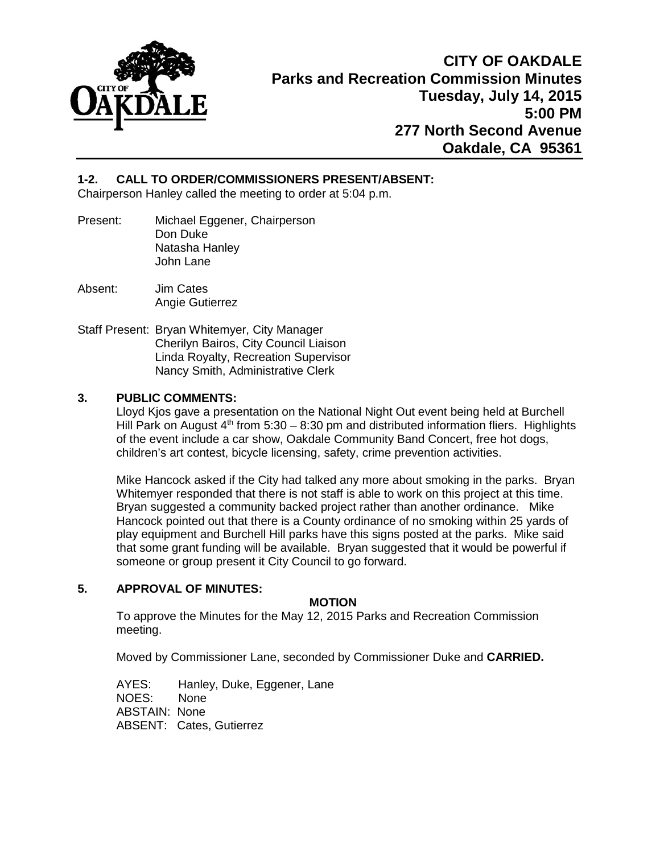

# **1-2. CALL TO ORDER/COMMISSIONERS PRESENT/ABSENT:**

Chairperson Hanley called the meeting to order at 5:04 p.m.

- Present: Michael Eggener, Chairperson Don Duke Natasha Hanley John Lane
- Absent: Jim Cates Angie Gutierrez
- Staff Present: Bryan Whitemyer, City Manager Cherilyn Bairos, City Council Liaison Linda Royalty, Recreation Supervisor Nancy Smith, Administrative Clerk

# **3. PUBLIC COMMENTS:**

Lloyd Kjos gave a presentation on the National Night Out event being held at Burchell Hill Park on August  $4<sup>th</sup>$  from 5:30 – 8:30 pm and distributed information fliers. Highlights of the event include a car show, Oakdale Community Band Concert, free hot dogs, children's art contest, bicycle licensing, safety, crime prevention activities.

Mike Hancock asked if the City had talked any more about smoking in the parks. Bryan Whitemyer responded that there is not staff is able to work on this project at this time. Bryan suggested a community backed project rather than another ordinance. Mike Hancock pointed out that there is a County ordinance of no smoking within 25 yards of play equipment and Burchell Hill parks have this signs posted at the parks. Mike said that some grant funding will be available. Bryan suggested that it would be powerful if someone or group present it City Council to go forward.

# **5. APPROVAL OF MINUTES:**

# **MOTION**

To approve the Minutes for the May 12, 2015 Parks and Recreation Commission meeting.

Moved by Commissioner Lane, seconded by Commissioner Duke and **CARRIED.** 

AYES: Hanley, Duke, Eggener, Lane NOES: None ABSTAIN: None ABSENT: Cates, Gutierrez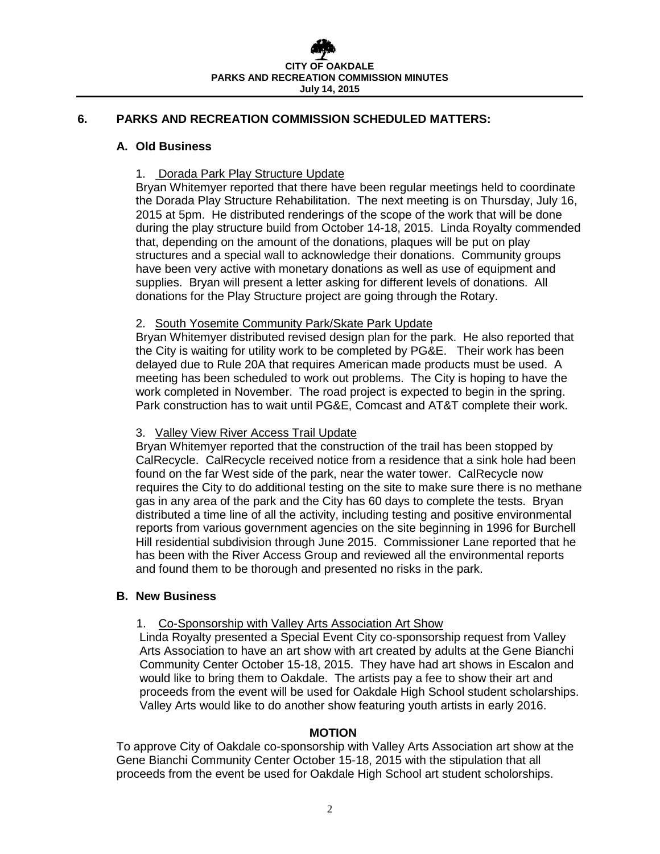# **6. PARKS AND RECREATION COMMISSION SCHEDULED MATTERS:**

#### **A. Old Business**

### 1. Dorada Park Play Structure Update

Bryan Whitemyer reported that there have been regular meetings held to coordinate the Dorada Play Structure Rehabilitation. The next meeting is on Thursday, July 16, 2015 at 5pm. He distributed renderings of the scope of the work that will be done during the play structure build from October 14-18, 2015. Linda Royalty commended that, depending on the amount of the donations, plaques will be put on play structures and a special wall to acknowledge their donations. Community groups have been very active with monetary donations as well as use of equipment and supplies. Bryan will present a letter asking for different levels of donations. All donations for the Play Structure project are going through the Rotary.

#### 2. South Yosemite Community Park/Skate Park Update

Bryan Whitemyer distributed revised design plan for the park. He also reported that the City is waiting for utility work to be completed by PG&E. Their work has been delayed due to Rule 20A that requires American made products must be used. A meeting has been scheduled to work out problems. The City is hoping to have the work completed in November. The road project is expected to begin in the spring. Park construction has to wait until PG&E, Comcast and AT&T complete their work.

### 3. Valley View River Access Trail Update

Bryan Whitemyer reported that the construction of the trail has been stopped by CalRecycle. CalRecycle received notice from a residence that a sink hole had been found on the far West side of the park, near the water tower. CalRecycle now requires the City to do additional testing on the site to make sure there is no methane gas in any area of the park and the City has 60 days to complete the tests. Bryan distributed a time line of all the activity, including testing and positive environmental reports from various government agencies on the site beginning in 1996 for Burchell Hill residential subdivision through June 2015. Commissioner Lane reported that he has been with the River Access Group and reviewed all the environmental reports and found them to be thorough and presented no risks in the park.

#### **B. New Business**

# 1. Co-Sponsorship with Valley Arts Association Art Show

Linda Royalty presented a Special Event City co-sponsorship request from Valley Arts Association to have an art show with art created by adults at the Gene Bianchi Community Center October 15-18, 2015. They have had art shows in Escalon and would like to bring them to Oakdale. The artists pay a fee to show their art and proceeds from the event will be used for Oakdale High School student scholarships. Valley Arts would like to do another show featuring youth artists in early 2016.

#### **MOTION**

To approve City of Oakdale co-sponsorship with Valley Arts Association art show at the Gene Bianchi Community Center October 15-18, 2015 with the stipulation that all proceeds from the event be used for Oakdale High School art student scholorships.